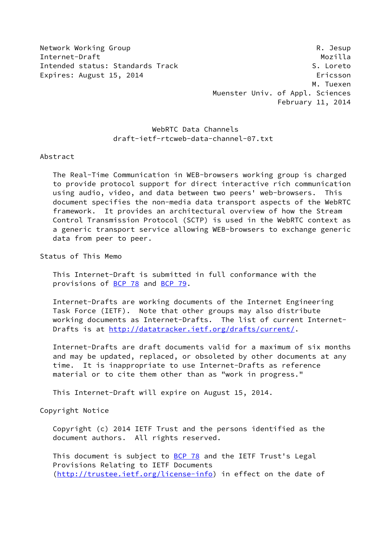Network Working Group **Reading Reading Community** R. Jesup

Internet-Draft Mozilla Intended status: Standards Track S. Loreto Expires: August 15, 2014 **Expires: August 15, 2014**  M. Tuexen Muenster Univ. of Appl. Sciences February 11, 2014

# WebRTC Data Channels draft-ietf-rtcweb-data-channel-07.txt

Abstract

 The Real-Time Communication in WEB-browsers working group is charged to provide protocol support for direct interactive rich communication using audio, video, and data between two peers' web-browsers. This document specifies the non-media data transport aspects of the WebRTC framework. It provides an architectural overview of how the Stream Control Transmission Protocol (SCTP) is used in the WebRTC context as a generic transport service allowing WEB-browsers to exchange generic data from peer to peer.

Status of This Memo

 This Internet-Draft is submitted in full conformance with the provisions of [BCP 78](https://datatracker.ietf.org/doc/pdf/bcp78) and [BCP 79](https://datatracker.ietf.org/doc/pdf/bcp79).

 Internet-Drafts are working documents of the Internet Engineering Task Force (IETF). Note that other groups may also distribute working documents as Internet-Drafts. The list of current Internet- Drafts is at<http://datatracker.ietf.org/drafts/current/>.

 Internet-Drafts are draft documents valid for a maximum of six months and may be updated, replaced, or obsoleted by other documents at any time. It is inappropriate to use Internet-Drafts as reference material or to cite them other than as "work in progress."

This Internet-Draft will expire on August 15, 2014.

Copyright Notice

 Copyright (c) 2014 IETF Trust and the persons identified as the document authors. All rights reserved.

This document is subject to **[BCP 78](https://datatracker.ietf.org/doc/pdf/bcp78)** and the IETF Trust's Legal Provisions Relating to IETF Documents [\(http://trustee.ietf.org/license-info](http://trustee.ietf.org/license-info)) in effect on the date of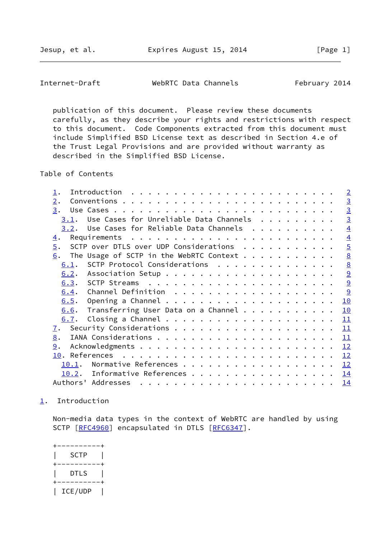<span id="page-1-1"></span>Internet-Draft WebRTC Data Channels February 2014

 publication of this document. Please review these documents carefully, as they describe your rights and restrictions with respect to this document. Code Components extracted from this document must include Simplified BSD License text as described in Section 4.e of the Trust Legal Provisions and are provided without warranty as described in the Simplified BSD License.

Table of Contents

|                  |                                                                                                                                                                                                                                                                                                                                                                                                                                                                                                               |  |  |  |  | $\overline{2}$  |
|------------------|---------------------------------------------------------------------------------------------------------------------------------------------------------------------------------------------------------------------------------------------------------------------------------------------------------------------------------------------------------------------------------------------------------------------------------------------------------------------------------------------------------------|--|--|--|--|-----------------|
| $\overline{2}$ . |                                                                                                                                                                                                                                                                                                                                                                                                                                                                                                               |  |  |  |  | $\overline{3}$  |
| 3.               |                                                                                                                                                                                                                                                                                                                                                                                                                                                                                                               |  |  |  |  | $\overline{3}$  |
| 3.1.             | Use Cases for Unreliable Data Channels                                                                                                                                                                                                                                                                                                                                                                                                                                                                        |  |  |  |  | $\overline{3}$  |
|                  | $3.2$ . Use Cases for Reliable Data Channels                                                                                                                                                                                                                                                                                                                                                                                                                                                                  |  |  |  |  | $\overline{4}$  |
| 4.               |                                                                                                                                                                                                                                                                                                                                                                                                                                                                                                               |  |  |  |  | $\overline{4}$  |
| $\overline{5}$ . | SCTP over DTLS over UDP Considerations                                                                                                                                                                                                                                                                                                                                                                                                                                                                        |  |  |  |  | $\overline{5}$  |
| 6.               |                                                                                                                                                                                                                                                                                                                                                                                                                                                                                                               |  |  |  |  | $\underline{8}$ |
| 6.1.             | SCTP Protocol Considerations                                                                                                                                                                                                                                                                                                                                                                                                                                                                                  |  |  |  |  | $\underline{8}$ |
| 6.2.             |                                                                                                                                                                                                                                                                                                                                                                                                                                                                                                               |  |  |  |  | 9               |
|                  |                                                                                                                                                                                                                                                                                                                                                                                                                                                                                                               |  |  |  |  | 9               |
| 6.4.             |                                                                                                                                                                                                                                                                                                                                                                                                                                                                                                               |  |  |  |  | 9               |
| 6.5.             |                                                                                                                                                                                                                                                                                                                                                                                                                                                                                                               |  |  |  |  | 10              |
| 6.6.             | Transferring User Data on a Channel                                                                                                                                                                                                                                                                                                                                                                                                                                                                           |  |  |  |  | 10              |
| 6.7.             |                                                                                                                                                                                                                                                                                                                                                                                                                                                                                                               |  |  |  |  | 11              |
| 7.               |                                                                                                                                                                                                                                                                                                                                                                                                                                                                                                               |  |  |  |  | 11              |
| 8.               |                                                                                                                                                                                                                                                                                                                                                                                                                                                                                                               |  |  |  |  | 11              |
| 9.               |                                                                                                                                                                                                                                                                                                                                                                                                                                                                                                               |  |  |  |  | 12              |
|                  |                                                                                                                                                                                                                                                                                                                                                                                                                                                                                                               |  |  |  |  | 12              |
| 10.1.            |                                                                                                                                                                                                                                                                                                                                                                                                                                                                                                               |  |  |  |  | 12              |
| 10.2.            | Informative References                                                                                                                                                                                                                                                                                                                                                                                                                                                                                        |  |  |  |  | 14              |
|                  | Authors' Addresses<br>$\mathbf{r}^{\mathsf{T}} \cdot \mathbf{r}^{\mathsf{T}} \cdot \mathbf{r}^{\mathsf{T}} \cdot \mathbf{r}^{\mathsf{T}} \cdot \mathbf{r}^{\mathsf{T}} \cdot \mathbf{r}^{\mathsf{T}} \cdot \mathbf{r}^{\mathsf{T}} \cdot \mathbf{r}^{\mathsf{T}} \cdot \mathbf{r}^{\mathsf{T}} \cdot \mathbf{r}^{\mathsf{T}} \cdot \mathbf{r}^{\mathsf{T}} \cdot \mathbf{r}^{\mathsf{T}} \cdot \mathbf{r}^{\mathsf{T}} \cdot \mathbf{r}^{\mathsf{T}} \cdot \mathbf{r}^{\mathsf{T}} \cdot \mathbf{r}^{\mathsf$ |  |  |  |  | 14              |

#### <span id="page-1-0"></span>[1](#page-1-0). Introduction

 Non-media data types in the context of WebRTC are handled by using SCTP [\[RFC4960](https://datatracker.ietf.org/doc/pdf/rfc4960)] encapsulated in DTLS [\[RFC6347](https://datatracker.ietf.org/doc/pdf/rfc6347)].

 +----------+ | SCTP | +----------+ | DTLS | +----------+ | ICE/UDP |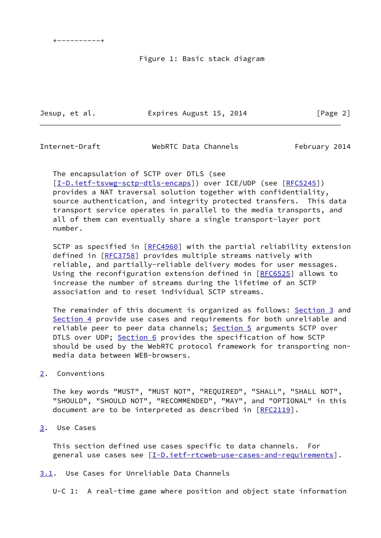# Figure 1: Basic stack diagram

Jesup, et al. **Expires August 15, 2014** [Page 2]

<span id="page-2-1"></span>Internet-Draft WebRTC Data Channels February 2014

 The encapsulation of SCTP over DTLS (see [\[I-D.ietf-tsvwg-sctp-dtls-encaps](#page-14-1)]) over ICE/UDP (see [\[RFC5245](https://datatracker.ietf.org/doc/pdf/rfc5245)]) provides a NAT traversal solution together with confidentiality, source authentication, and integrity protected transfers. This data transport service operates in parallel to the media transports, and all of them can eventually share a single transport-layer port number.

SCTP as specified in [\[RFC4960](https://datatracker.ietf.org/doc/pdf/rfc4960)] with the partial reliability extension defined in [[RFC3758\]](https://datatracker.ietf.org/doc/pdf/rfc3758) provides multiple streams natively with reliable, and partially-reliable delivery modes for user messages. Using the reconfiguration extension defined in [\[RFC6525](https://datatracker.ietf.org/doc/pdf/rfc6525)] allows to increase the number of streams during the lifetime of an SCTP association and to reset individual SCTP streams.

The remainder of this document is organized as follows: [Section 3](#page-2-2) and [Section 4](#page-3-2) provide use cases and requirements for both unreliable and reliable peer to peer data channels; [Section 5](#page-5-0) arguments SCTP over DTLS over UDP; [Section 6](#page-8-0) provides the specification of how SCTP should be used by the WebRTC protocol framework for transporting non media data between WEB-browsers.

<span id="page-2-0"></span>[2](#page-2-0). Conventions

 The key words "MUST", "MUST NOT", "REQUIRED", "SHALL", "SHALL NOT", "SHOULD", "SHOULD NOT", "RECOMMENDED", "MAY", and "OPTIONAL" in this document are to be interpreted as described in [\[RFC2119](https://datatracker.ietf.org/doc/pdf/rfc2119)].

<span id="page-2-2"></span>[3](#page-2-2). Use Cases

 This section defined use cases specific to data channels. For general use cases see [[I-D.ietf-rtcweb-use-cases-and-requirements\]](#page-15-1).

<span id="page-2-3"></span>[3.1](#page-2-3). Use Cases for Unreliable Data Channels

U-C 1: A real-time game where position and object state information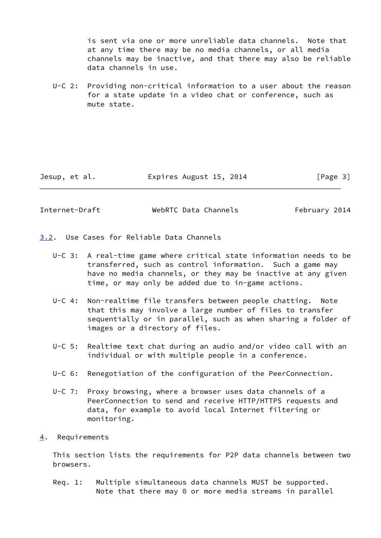is sent via one or more unreliable data channels. Note that at any time there may be no media channels, or all media channels may be inactive, and that there may also be reliable data channels in use.

 U-C 2: Providing non-critical information to a user about the reason for a state update in a video chat or conference, such as mute state.

Jesup, et al. **Expires August 15, 2014** [Page 3]

<span id="page-3-1"></span>Internet-Draft WebRTC Data Channels February 2014

<span id="page-3-0"></span>[3.2](#page-3-0). Use Cases for Reliable Data Channels

- U-C 3: A real-time game where critical state information needs to be transferred, such as control information. Such a game may have no media channels, or they may be inactive at any given time, or may only be added due to in-game actions.
- U-C 4: Non-realtime file transfers between people chatting. Note that this may involve a large number of files to transfer sequentially or in parallel, such as when sharing a folder of images or a directory of files.
- U-C 5: Realtime text chat during an audio and/or video call with an individual or with multiple people in a conference.
- U-C 6: Renegotiation of the configuration of the PeerConnection.
- U-C 7: Proxy browsing, where a browser uses data channels of a PeerConnection to send and receive HTTP/HTTPS requests and data, for example to avoid local Internet filtering or monitoring.
- <span id="page-3-2"></span>[4](#page-3-2). Requirements

 This section lists the requirements for P2P data channels between two browsers.

 Req. 1: Multiple simultaneous data channels MUST be supported. Note that there may 0 or more media streams in parallel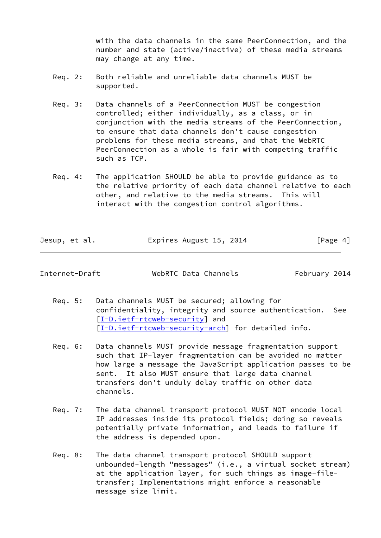with the data channels in the same PeerConnection, and the number and state (active/inactive) of these media streams may change at any time.

- Req. 2: Both reliable and unreliable data channels MUST be supported.
- Req. 3: Data channels of a PeerConnection MUST be congestion controlled; either individually, as a class, or in conjunction with the media streams of the PeerConnection, to ensure that data channels don't cause congestion problems for these media streams, and that the WebRTC PeerConnection as a whole is fair with competing traffic such as TCP.
- Req. 4: The application SHOULD be able to provide guidance as to the relative priority of each data channel relative to each other, and relative to the media streams. This will interact with the congestion control algorithms.

| Jesup, et al. | Expires August 15, 2014 | [Page 4] |
|---------------|-------------------------|----------|
|---------------|-------------------------|----------|

<span id="page-4-0"></span>Internet-Draft WebRTC Data Channels February 2014

- Req. 5: Data channels MUST be secured; allowing for confidentiality, integrity and source authentication. See [[I-D.ietf-rtcweb-security\]](#page-14-2) and [[I-D.ietf-rtcweb-security-arch\]](#page-14-3) for detailed info.
- Req. 6: Data channels MUST provide message fragmentation support such that IP-layer fragmentation can be avoided no matter how large a message the JavaScript application passes to be sent. It also MUST ensure that large data channel transfers don't unduly delay traffic on other data channels.
- Req. 7: The data channel transport protocol MUST NOT encode local IP addresses inside its protocol fields; doing so reveals potentially private information, and leads to failure if the address is depended upon.
- Req. 8: The data channel transport protocol SHOULD support unbounded-length "messages" (i.e., a virtual socket stream) at the application layer, for such things as image-file transfer; Implementations might enforce a reasonable message size limit.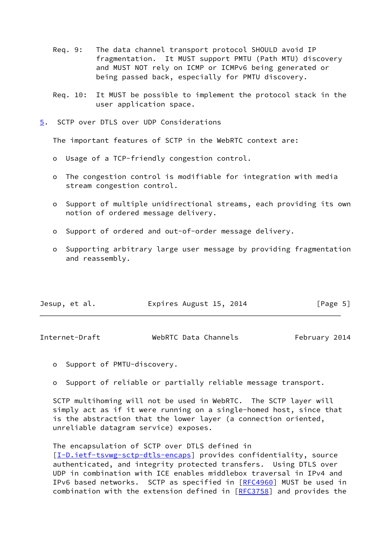- Req. 9: The data channel transport protocol SHOULD avoid IP fragmentation. It MUST support PMTU (Path MTU) discovery and MUST NOT rely on ICMP or ICMPv6 being generated or being passed back, especially for PMTU discovery.
- Req. 10: It MUST be possible to implement the protocol stack in the user application space.
- <span id="page-5-0"></span>[5](#page-5-0). SCTP over DTLS over UDP Considerations

The important features of SCTP in the WebRTC context are:

- o Usage of a TCP-friendly congestion control.
- o The congestion control is modifiable for integration with media stream congestion control.
- o Support of multiple unidirectional streams, each providing its own notion of ordered message delivery.
- o Support of ordered and out-of-order message delivery.
- o Supporting arbitrary large user message by providing fragmentation and reassembly.

| Expires August 15, 2014<br>Jesup, et al. | [Page 5] |  |
|------------------------------------------|----------|--|
|------------------------------------------|----------|--|

| Internet-Draft | WebRTC Data Channels | February 2014 |
|----------------|----------------------|---------------|
|----------------|----------------------|---------------|

o Support of PMTU-discovery.

o Support of reliable or partially reliable message transport.

 SCTP multihoming will not be used in WebRTC. The SCTP layer will simply act as if it were running on a single-homed host, since that is the abstraction that the lower layer (a connection oriented, unreliable datagram service) exposes.

 The encapsulation of SCTP over DTLS defined in [\[I-D.ietf-tsvwg-sctp-dtls-encaps](#page-14-1)] provides confidentiality, source authenticated, and integrity protected transfers. Using DTLS over UDP in combination with ICE enables middlebox traversal in IPv4 and IPv6 based networks. SCTP as specified in [[RFC4960\]](https://datatracker.ietf.org/doc/pdf/rfc4960) MUST be used in combination with the extension defined in [[RFC3758](https://datatracker.ietf.org/doc/pdf/rfc3758)] and provides the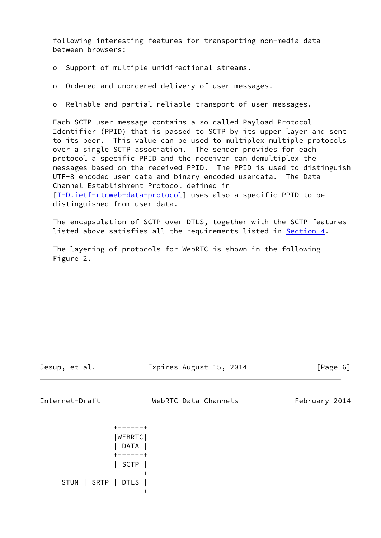following interesting features for transporting non-media data between browsers:

- o Support of multiple unidirectional streams.
- o Ordered and unordered delivery of user messages.
- o Reliable and partial-reliable transport of user messages.

 Each SCTP user message contains a so called Payload Protocol Identifier (PPID) that is passed to SCTP by its upper layer and sent to its peer. This value can be used to multiplex multiple protocols over a single SCTP association. The sender provides for each protocol a specific PPID and the receiver can demultiplex the messages based on the received PPID. The PPID is used to distinguish UTF-8 encoded user data and binary encoded userdata. The Data Channel Establishment Protocol defined in [\[I-D.ietf-rtcweb-data-protocol](#page-14-4)] uses also a specific PPID to be distinguished from user data.

 The encapsulation of SCTP over DTLS, together with the SCTP features listed above satisfies all the requirements listed in [Section 4.](#page-3-2)

 The layering of protocols for WebRTC is shown in the following Figure 2.

Jesup, et al. Expires August 15, 2014 [Page 6]

Internet-Draft WebRTC Data Channels February 2014

|  |  | WEBRTC <br>DATA    |
|--|--|--------------------|
|  |  | SCTP               |
|  |  | STUN   SRTP   DTLS |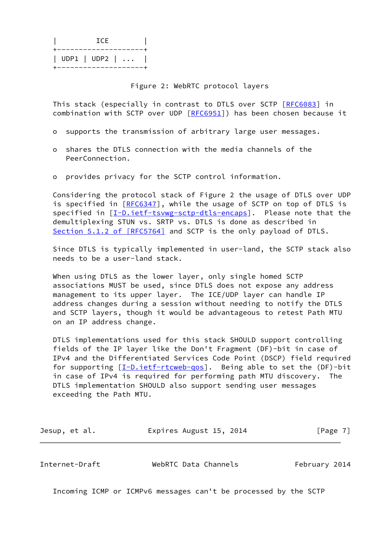|                       | - I C.E |             |
|-----------------------|---------|-------------|
| +-------------------- |         |             |
|                       |         | UDP1   UDP2 |
| +------------------   |         |             |

Figure 2: WebRTC protocol layers

 This stack (especially in contrast to DTLS over SCTP [\[RFC6083](https://datatracker.ietf.org/doc/pdf/rfc6083)] in combination with SCTP over UDP [\[RFC6951](https://datatracker.ietf.org/doc/pdf/rfc6951)]) has been chosen because it

- o supports the transmission of arbitrary large user messages.
- o shares the DTLS connection with the media channels of the PeerConnection.
- o provides privacy for the SCTP control information.

 Considering the protocol stack of Figure 2 the usage of DTLS over UDP is specified in [\[RFC6347](https://datatracker.ietf.org/doc/pdf/rfc6347)], while the usage of SCTP on top of DTLS is specified in [\[I-D.ietf-tsvwg-sctp-dtls-encaps](#page-14-1)]. Please note that the demultiplexing STUN vs. SRTP vs. DTLS is done as described in Section [5.1.2 of \[RFC5764\]](https://datatracker.ietf.org/doc/pdf/rfc5764#section-5.1.2) and SCTP is the only payload of DTLS.

 Since DTLS is typically implemented in user-land, the SCTP stack also needs to be a user-land stack.

 When using DTLS as the lower layer, only single homed SCTP associations MUST be used, since DTLS does not expose any address management to its upper layer. The ICE/UDP layer can handle IP address changes during a session without needing to notify the DTLS and SCTP layers, though it would be advantageous to retest Path MTU on an IP address change.

 DTLS implementations used for this stack SHOULD support controlling fields of the IP layer like the Don't Fragment (DF)-bit in case of IPv4 and the Differentiated Services Code Point (DSCP) field required for supporting  $[I-D.iett-rtcweb-qos]$ . Being able to set the  $(DF)-bit$  in case of IPv4 is required for performing path MTU discovery. The DTLS implementation SHOULD also support sending user messages exceeding the Path MTU.

| Jesup, et al. | Expires August 15, 2014 | [Page 7] |
|---------------|-------------------------|----------|
|---------------|-------------------------|----------|

<span id="page-7-0"></span>Internet-Draft WebRTC Data Channels February 2014

Incoming ICMP or ICMPv6 messages can't be processed by the SCTP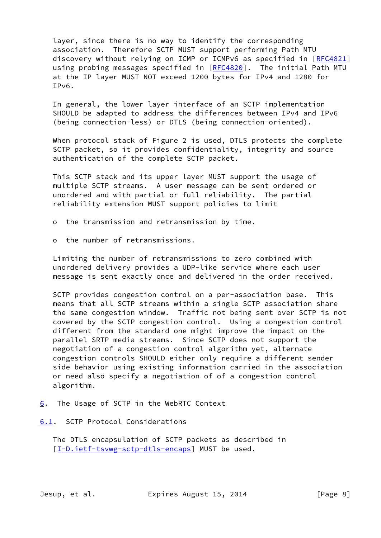layer, since there is no way to identify the corresponding association. Therefore SCTP MUST support performing Path MTU discovery without relying on ICMP or ICMPv6 as specified in [\[RFC4821](https://datatracker.ietf.org/doc/pdf/rfc4821)] using probing messages specified in [\[RFC4820](https://datatracker.ietf.org/doc/pdf/rfc4820)]. The initial Path MTU at the IP layer MUST NOT exceed 1200 bytes for IPv4 and 1280 for IPv6.

 In general, the lower layer interface of an SCTP implementation SHOULD be adapted to address the differences between IPv4 and IPv6 (being connection-less) or DTLS (being connection-oriented).

 When protocol stack of Figure 2 is used, DTLS protects the complete SCTP packet, so it provides confidentiality, integrity and source authentication of the complete SCTP packet.

 This SCTP stack and its upper layer MUST support the usage of multiple SCTP streams. A user message can be sent ordered or unordered and with partial or full reliability. The partial reliability extension MUST support policies to limit

- o the transmission and retransmission by time.
- o the number of retransmissions.

 Limiting the number of retransmissions to zero combined with unordered delivery provides a UDP-like service where each user message is sent exactly once and delivered in the order received.

 SCTP provides congestion control on a per-association base. This means that all SCTP streams within a single SCTP association share the same congestion window. Traffic not being sent over SCTP is not covered by the SCTP congestion control. Using a congestion control different from the standard one might improve the impact on the parallel SRTP media streams. Since SCTP does not support the negotiation of a congestion control algorithm yet, alternate congestion controls SHOULD either only require a different sender side behavior using existing information carried in the association or need also specify a negotiation of of a congestion control algorithm.

- <span id="page-8-0"></span>[6](#page-8-0). The Usage of SCTP in the WebRTC Context
- <span id="page-8-1"></span>[6.1](#page-8-1). SCTP Protocol Considerations

 The DTLS encapsulation of SCTP packets as described in [\[I-D.ietf-tsvwg-sctp-dtls-encaps](#page-14-1)] MUST be used.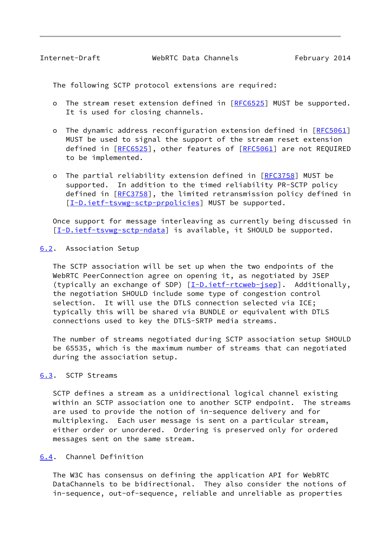<span id="page-9-1"></span>Internet-Draft WebRTC Data Channels February 2014

The following SCTP protocol extensions are required:

- o The stream reset extension defined in [\[RFC6525](https://datatracker.ietf.org/doc/pdf/rfc6525)] MUST be supported. It is used for closing channels.
- o The dynamic address reconfiguration extension defined in [\[RFC5061](https://datatracker.ietf.org/doc/pdf/rfc5061)] MUST be used to signal the support of the stream reset extension defined in [[RFC6525](https://datatracker.ietf.org/doc/pdf/rfc6525)], other features of [[RFC5061\]](https://datatracker.ietf.org/doc/pdf/rfc5061) are not REQUIRED to be implemented.
- o The partial reliability extension defined in [\[RFC3758](https://datatracker.ietf.org/doc/pdf/rfc3758)] MUST be supported. In addition to the timed reliability PR-SCTP policy defined in [[RFC3758](https://datatracker.ietf.org/doc/pdf/rfc3758)], the limited retransmission policy defined in [[I-D.ietf-tsvwg-sctp-prpolicies](#page-14-6)] MUST be supported.

 Once support for message interleaving as currently being discussed in [\[I-D.ietf-tsvwg-sctp-ndata](#page-13-1)] is available, it SHOULD be supported.

#### <span id="page-9-0"></span>[6.2](#page-9-0). Association Setup

 The SCTP association will be set up when the two endpoints of the WebRTC PeerConnection agree on opening it, as negotiated by JSEP (typically an exchange of SDP) [\[I-D.ietf-rtcweb-jsep](#page-14-7)]. Additionally, the negotiation SHOULD include some type of congestion control selection. It will use the DTLS connection selected via ICE; typically this will be shared via BUNDLE or equivalent with DTLS connections used to key the DTLS-SRTP media streams.

 The number of streams negotiated during SCTP association setup SHOULD be 65535, which is the maximum number of streams that can negotiated during the association setup.

### <span id="page-9-2"></span>[6.3](#page-9-2). SCTP Streams

 SCTP defines a stream as a unidirectional logical channel existing within an SCTP association one to another SCTP endpoint. The streams are used to provide the notion of in-sequence delivery and for multiplexing. Each user message is sent on a particular stream, either order or unordered. Ordering is preserved only for ordered messages sent on the same stream.

#### <span id="page-9-3"></span>[6.4](#page-9-3). Channel Definition

 The W3C has consensus on defining the application API for WebRTC DataChannels to be bidirectional. They also consider the notions of in-sequence, out-of-sequence, reliable and unreliable as properties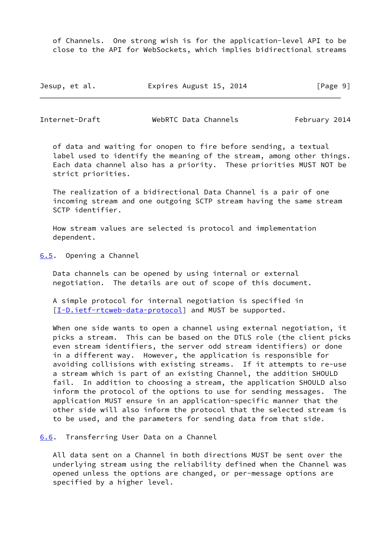of Channels. One strong wish is for the application-level API to be close to the API for WebSockets, which implies bidirectional streams

| Jesup, et al. | Expires August 15, 2014 | [Page 9] |
|---------------|-------------------------|----------|
|---------------|-------------------------|----------|

<span id="page-10-1"></span>Internet-Draft WebRTC Data Channels February 2014

 of data and waiting for onopen to fire before sending, a textual label used to identify the meaning of the stream, among other things. Each data channel also has a priority. These priorities MUST NOT be strict priorities.

 The realization of a bidirectional Data Channel is a pair of one incoming stream and one outgoing SCTP stream having the same stream SCTP identifier.

 How stream values are selected is protocol and implementation dependent.

<span id="page-10-0"></span>[6.5](#page-10-0). Opening a Channel

 Data channels can be opened by using internal or external negotiation. The details are out of scope of this document.

 A simple protocol for internal negotiation is specified in [\[I-D.ietf-rtcweb-data-protocol](#page-14-4)] and MUST be supported.

When one side wants to open a channel using external negotiation, it picks a stream. This can be based on the DTLS role (the client picks even stream identifiers, the server odd stream identifiers) or done in a different way. However, the application is responsible for avoiding collisions with existing streams. If it attempts to re-use a stream which is part of an existing Channel, the addition SHOULD fail. In addition to choosing a stream, the application SHOULD also inform the protocol of the options to use for sending messages. The application MUST ensure in an application-specific manner that the other side will also inform the protocol that the selected stream is to be used, and the parameters for sending data from that side.

<span id="page-10-2"></span>[6.6](#page-10-2). Transferring User Data on a Channel

 All data sent on a Channel in both directions MUST be sent over the underlying stream using the reliability defined when the Channel was opened unless the options are changed, or per-message options are specified by a higher level.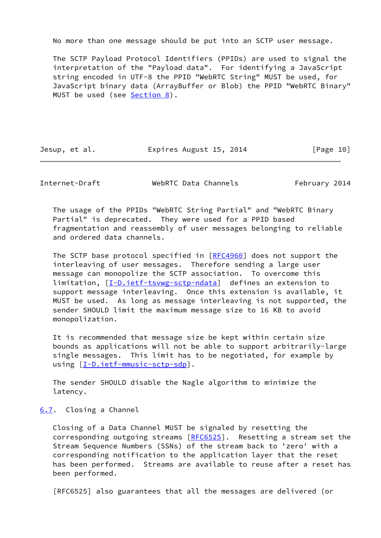No more than one message should be put into an SCTP user message.

 The SCTP Payload Protocol Identifiers (PPIDs) are used to signal the interpretation of the "Payload data". For identifying a JavaScript string encoded in UTF-8 the PPID "WebRTC String" MUST be used, for JavaScript binary data (ArrayBuffer or Blob) the PPID "WebRTC Binary" MUST be used (see [Section 8\)](#page-12-1).

Jesup, et al. Expires August 15, 2014 [Page 10]

<span id="page-11-1"></span>Internet-Draft WebRTC Data Channels February 2014

 The usage of the PPIDs "WebRTC String Partial" and "WebRTC Binary Partial" is deprecated. They were used for a PPID based fragmentation and reassembly of user messages belonging to reliable and ordered data channels.

The SCTP base protocol specified in [\[RFC4960](https://datatracker.ietf.org/doc/pdf/rfc4960)] does not support the interleaving of user messages. Therefore sending a large user message can monopolize the SCTP association. To overcome this limitation, [\[I-D.ietf-tsvwg-sctp-ndata](#page-13-1)] defines an extension to support message interleaving. Once this extension is available, it MUST be used. As long as message interleaving is not supported, the sender SHOULD limit the maximum message size to 16 KB to avoid monopolization.

 It is recommended that message size be kept within certain size bounds as applications will not be able to support arbitrarily-large single messages. This limit has to be negotiated, for example by using  $[I-D.iett-mmusic-sctp-sdp]$ .

 The sender SHOULD disable the Nagle algorithm to minimize the latency.

## <span id="page-11-0"></span>[6.7](#page-11-0). Closing a Channel

 Closing of a Data Channel MUST be signaled by resetting the corresponding outgoing streams [\[RFC6525](https://datatracker.ietf.org/doc/pdf/rfc6525)]. Resetting a stream set the Stream Sequence Numbers (SSNs) of the stream back to 'zero' with a corresponding notification to the application layer that the reset has been performed. Streams are available to reuse after a reset has been performed.

[RFC6525] also guarantees that all the messages are delivered (or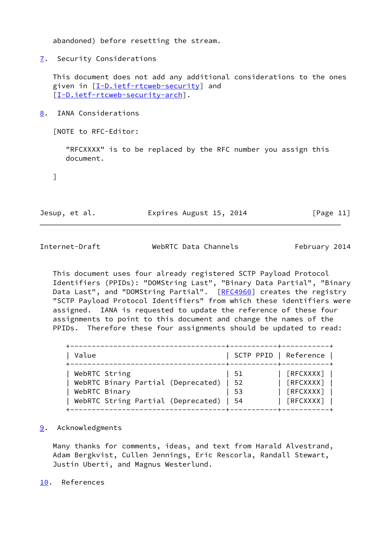abandoned) before resetting the stream.

<span id="page-12-0"></span>[7](#page-12-0). Security Considerations

 This document does not add any additional considerations to the ones given in [\[I-D.ietf-rtcweb-security](#page-14-2)] and [\[I-D.ietf-rtcweb-security-arch](#page-14-3)].

<span id="page-12-1"></span>[8](#page-12-1). IANA Considerations

[NOTE to RFC-Editor:

 "RFCXXXX" is to be replaced by the RFC number you assign this document.

]

Jesup, et al. Expires August 15, 2014 [Page 11]

<span id="page-12-3"></span>Internet-Draft WebRTC Data Channels February 2014

 This document uses four already registered SCTP Payload Protocol Identifiers (PPIDs): "DOMString Last", "Binary Data Partial", "Binary Data Last", and "DOMString Partial". [[RFC4960](https://datatracker.ietf.org/doc/pdf/rfc4960)] creates the registry "SCTP Payload Protocol Identifiers" from which these identifiers were assigned. IANA is requested to update the reference of these four assignments to point to this document and change the names of the PPIDs. Therefore these four assignments should be updated to read:

| Value                              | SCTP PPID   Reference |           |
|------------------------------------|-----------------------|-----------|
| WebRTC String                      | 51                    | [REXXXX]  |
| WebRTC Binary Partial (Deprecated) | - 52                  | [REXXXX]  |
| WebRTC Binary                      | 53                    | [REXXXX]  |
| WebRTC String Partial (Deprecated) | - 54                  | [RFCXXXX] |

<span id="page-12-2"></span>[9](#page-12-2). Acknowledgments

 Many thanks for comments, ideas, and text from Harald Alvestrand, Adam Bergkvist, Cullen Jennings, Eric Rescorla, Randall Stewart, Justin Uberti, and Magnus Westerlund.

<span id="page-12-4"></span>[10.](#page-12-4) References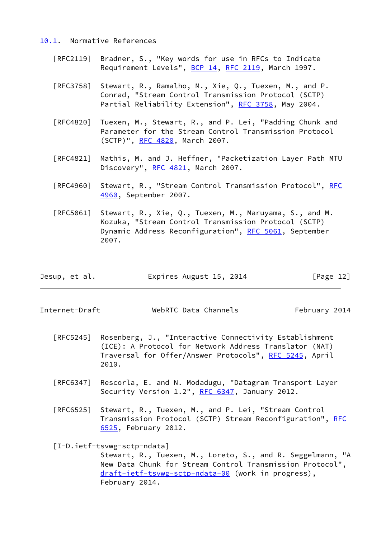#### <span id="page-13-0"></span>[10.1](#page-13-0). Normative References

- [RFC2119] Bradner, S., "Key words for use in RFCs to Indicate Requirement Levels", [BCP 14](https://datatracker.ietf.org/doc/pdf/bcp14), [RFC 2119](https://datatracker.ietf.org/doc/pdf/rfc2119), March 1997.
- [RFC3758] Stewart, R., Ramalho, M., Xie, Q., Tuexen, M., and P. Conrad, "Stream Control Transmission Protocol (SCTP) Partial Reliability Extension", [RFC 3758,](https://datatracker.ietf.org/doc/pdf/rfc3758) May 2004.
- [RFC4820] Tuexen, M., Stewart, R., and P. Lei, "Padding Chunk and Parameter for the Stream Control Transmission Protocol (SCTP)", [RFC 4820,](https://datatracker.ietf.org/doc/pdf/rfc4820) March 2007.
- [RFC4821] Mathis, M. and J. Heffner, "Packetization Layer Path MTU Discovery", [RFC 4821,](https://datatracker.ietf.org/doc/pdf/rfc4821) March 2007.
- [RFC4960] Stewart, R., "Stream Control Transmission Protocol", [RFC](https://datatracker.ietf.org/doc/pdf/rfc4960) [4960,](https://datatracker.ietf.org/doc/pdf/rfc4960) September 2007.
- [RFC5061] Stewart, R., Xie, Q., Tuexen, M., Maruyama, S., and M. Kozuka, "Stream Control Transmission Protocol (SCTP) Dynamic Address Reconfiguration", [RFC 5061](https://datatracker.ietf.org/doc/pdf/rfc5061), September 2007.

| Jesup, et al. | Expires August 15, 2014 | [Page 12] |
|---------------|-------------------------|-----------|
|---------------|-------------------------|-----------|

Internet-Draft WebRTC Data Channels February 2014

- [RFC5245] Rosenberg, J., "Interactive Connectivity Establishment (ICE): A Protocol for Network Address Translator (NAT) Traversal for Offer/Answer Protocols", [RFC 5245](https://datatracker.ietf.org/doc/pdf/rfc5245), April 2010.
- [RFC6347] Rescorla, E. and N. Modadugu, "Datagram Transport Layer Security Version 1.2", [RFC 6347](https://datatracker.ietf.org/doc/pdf/rfc6347), January 2012.
- [RFC6525] Stewart, R., Tuexen, M., and P. Lei, "Stream Control Transmission Protocol (SCTP) Stream Reconfiguration", [RFC](https://datatracker.ietf.org/doc/pdf/rfc6525) [6525,](https://datatracker.ietf.org/doc/pdf/rfc6525) February 2012.

<span id="page-13-1"></span>[I-D.ietf-tsvwg-sctp-ndata]

 Stewart, R., Tuexen, M., Loreto, S., and R. Seggelmann, "A New Data Chunk for Stream Control Transmission Protocol", [draft-ietf-tsvwg-sctp-ndata-00](https://datatracker.ietf.org/doc/pdf/draft-ietf-tsvwg-sctp-ndata-00) (work in progress), February 2014.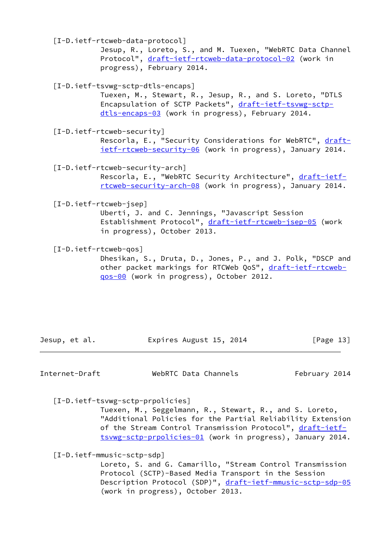<span id="page-14-4"></span>[I-D.ietf-rtcweb-data-protocol]

 Jesup, R., Loreto, S., and M. Tuexen, "WebRTC Data Channel Protocol", [draft-ietf-rtcweb-data-protocol-02](https://datatracker.ietf.org/doc/pdf/draft-ietf-rtcweb-data-protocol-02) (work in progress), February 2014.

<span id="page-14-1"></span>[I-D.ietf-tsvwg-sctp-dtls-encaps]

 Tuexen, M., Stewart, R., Jesup, R., and S. Loreto, "DTLS Encapsulation of SCTP Packets", [draft-ietf-tsvwg-sctp](https://datatracker.ietf.org/doc/pdf/draft-ietf-tsvwg-sctp-dtls-encaps-03) [dtls-encaps-03](https://datatracker.ietf.org/doc/pdf/draft-ietf-tsvwg-sctp-dtls-encaps-03) (work in progress), February 2014.

<span id="page-14-2"></span>[I-D.ietf-rtcweb-security]

Rescorla, E., "Security Considerations for WebRTC", [draft](https://datatracker.ietf.org/doc/pdf/draft-ietf-rtcweb-security-06) [ietf-rtcweb-security-06](https://datatracker.ietf.org/doc/pdf/draft-ietf-rtcweb-security-06) (work in progress), January 2014.

<span id="page-14-3"></span>[I-D.ietf-rtcweb-security-arch]

Rescorla, E., "WebRTC Security Architecture", [draft-ietf](https://datatracker.ietf.org/doc/pdf/draft-ietf-rtcweb-security-arch-08) [rtcweb-security-arch-08](https://datatracker.ietf.org/doc/pdf/draft-ietf-rtcweb-security-arch-08) (work in progress), January 2014.

<span id="page-14-7"></span>[I-D.ietf-rtcweb-jsep]

 Uberti, J. and C. Jennings, "Javascript Session Establishment Protocol", [draft-ietf-rtcweb-jsep-05](https://datatracker.ietf.org/doc/pdf/draft-ietf-rtcweb-jsep-05) (work in progress), October 2013.

<span id="page-14-5"></span>[I-D.ietf-rtcweb-qos]

 Dhesikan, S., Druta, D., Jones, P., and J. Polk, "DSCP and other packet markings for RTCWeb QoS", [draft-ietf-rtcweb](https://datatracker.ietf.org/doc/pdf/draft-ietf-rtcweb-qos-00) [qos-00](https://datatracker.ietf.org/doc/pdf/draft-ietf-rtcweb-qos-00) (work in progress), October 2012.

Jesup, et al. **Expires August 15, 2014** [Page 13]

<span id="page-14-0"></span>Internet-Draft WebRTC Data Channels February 2014

<span id="page-14-6"></span>[I-D.ietf-tsvwg-sctp-prpolicies]

 Tuexen, M., Seggelmann, R., Stewart, R., and S. Loreto, "Additional Policies for the Partial Reliability Extension of the Stream Control Transmission Protocol", [draft-ietf](https://datatracker.ietf.org/doc/pdf/draft-ietf-tsvwg-sctp-prpolicies-01) [tsvwg-sctp-prpolicies-01](https://datatracker.ietf.org/doc/pdf/draft-ietf-tsvwg-sctp-prpolicies-01) (work in progress), January 2014.

<span id="page-14-8"></span>[I-D.ietf-mmusic-sctp-sdp]

 Loreto, S. and G. Camarillo, "Stream Control Transmission Protocol (SCTP)-Based Media Transport in the Session Description Protocol (SDP)", [draft-ietf-mmusic-sctp-sdp-05](https://datatracker.ietf.org/doc/pdf/draft-ietf-mmusic-sctp-sdp-05) (work in progress), October 2013.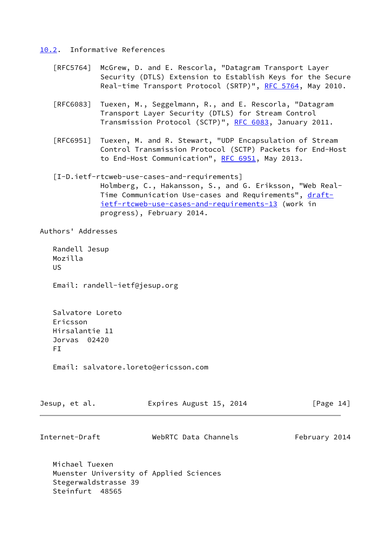<span id="page-15-0"></span>[10.2](#page-15-0). Informative References

- [RFC5764] McGrew, D. and E. Rescorla, "Datagram Transport Layer Security (DTLS) Extension to Establish Keys for the Secure Real-time Transport Protocol (SRTP)", [RFC 5764](https://datatracker.ietf.org/doc/pdf/rfc5764), May 2010.
- [RFC6083] Tuexen, M., Seggelmann, R., and E. Rescorla, "Datagram Transport Layer Security (DTLS) for Stream Control Transmission Protocol (SCTP)", [RFC 6083](https://datatracker.ietf.org/doc/pdf/rfc6083), January 2011.
- [RFC6951] Tuexen, M. and R. Stewart, "UDP Encapsulation of Stream Control Transmission Protocol (SCTP) Packets for End-Host to End-Host Communication", [RFC 6951,](https://datatracker.ietf.org/doc/pdf/rfc6951) May 2013.
- <span id="page-15-1"></span> [I-D.ietf-rtcweb-use-cases-and-requirements] Holmberg, C., Hakansson, S., and G. Eriksson, "Web Real- Time Communication Use-cases and Requirements", [draft](https://datatracker.ietf.org/doc/pdf/draft-ietf-rtcweb-use-cases-and-requirements-13) [ietf-rtcweb-use-cases-and-requirements-13](https://datatracker.ietf.org/doc/pdf/draft-ietf-rtcweb-use-cases-and-requirements-13) (work in progress), February 2014.

Authors' Addresses

 Randell Jesup Mozilla US

Email: randell-ietf@jesup.org

 Salvatore Loreto Ericsson Hirsalantie 11 Jorvas 02420 FI

Email: salvatore.loreto@ericsson.com

| Jesup, et al.  | Expires August 15, 2014 | $\lceil \text{Page 14} \rceil$ |
|----------------|-------------------------|--------------------------------|
|                |                         |                                |
| Internet-Draft | WebRTC Data Channels    | February 2014                  |

 Michael Tuexen Muenster University of Applied Sciences Stegerwaldstrasse 39 Steinfurt 48565